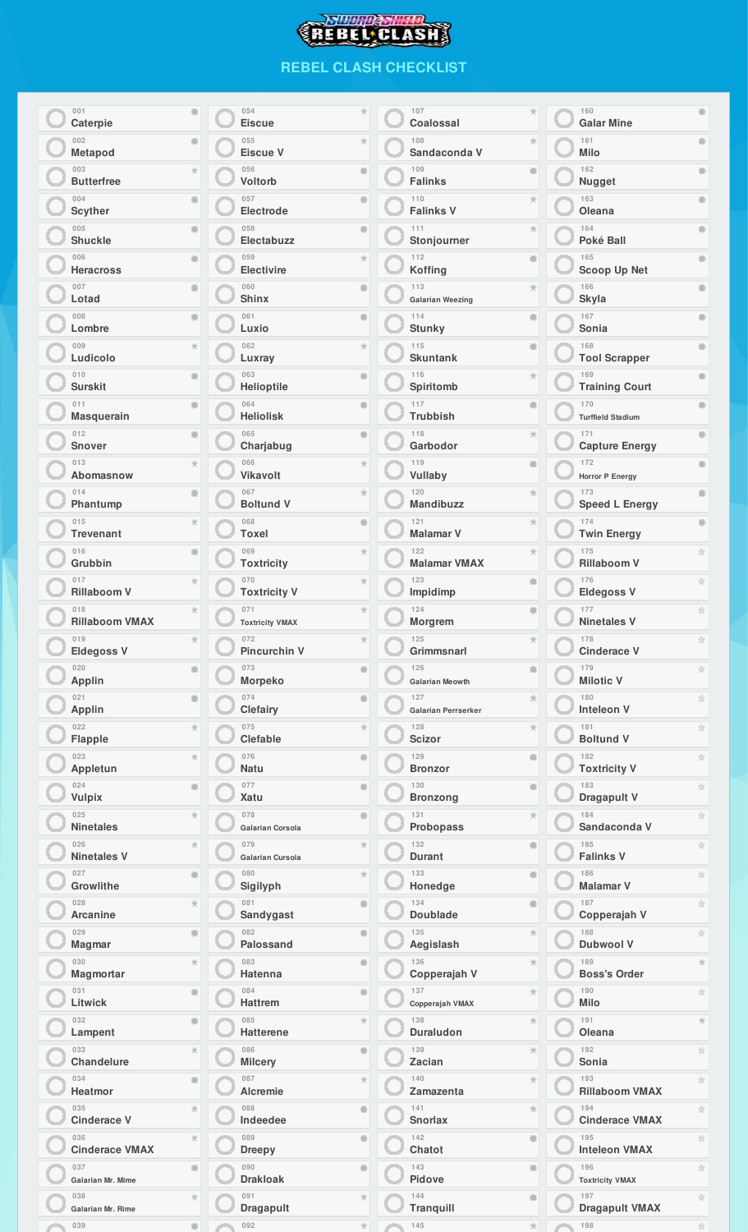## **SUURDSHIP**

## **REBEL CLASH CHECKLIST**

| 001<br>۰<br>Caterpie                     | 054<br>×<br><b>Eiscue</b>                      | 107<br>Coalossal                                | 160<br><b>Galar Mine</b>                                                |
|------------------------------------------|------------------------------------------------|-------------------------------------------------|-------------------------------------------------------------------------|
| 002<br>۰<br>Metapod                      | 055<br>×<br>Eiscue V                           | 108<br>Sandaconda V                             | 161<br>Milo                                                             |
| 003<br>ý,<br><b>Butterfree</b>           | 056<br>۰<br>Voltorb                            | 109<br>۰<br><b>Falinks</b>                      | 162<br><b>Nugget</b>                                                    |
| 004<br>۰<br><b>Scyther</b>               | 057<br>۰<br>Electrode                          | 110<br><b>Falinks V</b>                         | 163<br>$\blacksquare$<br>Oleana                                         |
| 005<br>۰<br><b>Shuckle</b>               | 058<br>۰<br>Electabuzz                         | 111<br>Stonjourner                              | 164<br>Poké Ball                                                        |
| 006<br>۰<br><b>Heracross</b>             | 059<br>$\boldsymbol{\pi}$<br><b>Electivire</b> | 112<br>۰<br><b>Koffing</b>                      | 165<br><b>Scoop Up Net</b>                                              |
| 007<br>۰<br>Lotad                        | 060<br>۰<br><b>Shinx</b>                       | 113<br><b>Galarian Weezing</b>                  | 166<br>$\oplus$<br><b>Skyla</b>                                         |
| 008                                      | 061                                            | 114                                             | 167                                                                     |
| ۰                                        | ۰                                              | ۰                                               | $\blacksquare$                                                          |
| Lombre                                   | Luxio                                          | <b>Stunky</b>                                   | Sonia                                                                   |
| 009<br>ý,<br>Ludicolo                    | 062<br>$\mathcal{H}$<br>Luxray                 | 115<br>۰<br><b>Skuntank</b>                     | 168<br><b>Tool Scrapper</b>                                             |
| 010<br>۰<br><b>Surskit</b>               | 063<br>۰<br><b>Helioptile</b>                  | 116<br>Spiritomb                                | 169<br><b>Training Court</b>                                            |
| 011                                      | 064                                            | 117                                             | 170                                                                     |
| ۰                                        | ۰                                              | ۰                                               | $\oplus$                                                                |
| <b>Masquerain</b>                        | <b>Heliolisk</b>                               | <b>Trubbish</b>                                 | <b>Turffield Stadium</b>                                                |
| 012<br>۰<br><b>Snover</b>                | 065<br>۰<br>Charjabug                          | 118<br>Garbodor                                 | 171<br>$\oplus$<br><b>Capture Energy</b>                                |
| 013                                      | 066                                            | 119                                             | 172                                                                     |
| ý,                                       | $\boldsymbol{\pi}$                             | $\qquad \qquad \oplus$                          | $\oplus$                                                                |
| Abomasnow                                | <b>Vikavolt</b>                                | Vullaby                                         | Horror P Energy                                                         |
| 014<br>۰<br>Phantump                     | 067<br>$\mathcal{H}$<br><b>Boltund V</b>       | 120<br><b>Mandibuzz</b>                         | 173<br>$\oplus$<br><b>Speed L Energy</b>                                |
| 015                                      | 068                                            | 121                                             | 174                                                                     |
| $^{\star}$                               | ۰                                              | ×                                               | $\bullet$                                                               |
| <b>Trevenant</b>                         | Toxel                                          | <b>Malamar V</b>                                | <b>Twin Energy</b>                                                      |
| 016<br>۰<br>Grubbin                      | 069<br>$\boldsymbol{\pi}$<br><b>Toxtricity</b> | 122<br><b>Malamar VMAX</b>                      | 175<br>☆<br><b>Rillaboom V</b>                                          |
| 017                                      | 070                                            | 123                                             | 176                                                                     |
| $^{\star}$                               | $\boldsymbol{\pi}$                             | ۰                                               | 宜                                                                       |
| <b>Rillaboom V</b>                       | <b>Toxtricity V</b>                            | Impidimp                                        | <b>Eldegoss V</b>                                                       |
| 018<br><b>Rillaboom VMAX</b>             | 071<br>×<br><b>Toxtricity VMAX</b>             | 124<br>Morgrem                                  | 177<br>Ý.<br><b>Ninetales V</b>                                         |
| 019                                      | 072                                            | 125                                             | 178                                                                     |
| $^{\star}$                               | $^{\star}$                                     | ×                                               | 宜                                                                       |
| <b>Eldegoss V</b>                        | <b>Pincurchin V</b>                            | Grimmsnarl                                      | <b>Cinderace V</b>                                                      |
| 020                                      | 073                                            | 126                                             | 179                                                                     |
| $\bullet$                                | $\bullet$                                      | $\qquad \qquad \oplus$                          | ☆                                                                       |
| Applin                                   | Morpeko                                        | <b>Galarian Meowth</b>                          | <b>Milotic V</b>                                                        |
| 021                                      | 074                                            | 127                                             | 180                                                                     |
| $\qquad \qquad \circ$                    | $\qquad \qquad \circ$                          | $\boldsymbol{\pi}$                              | ☆                                                                       |
| Applin                                   | Clefairy                                       | Galarian Perrserker                             | <b>Inteleon V</b>                                                       |
| 022                                      | 075                                            | 128                                             | 181                                                                     |
| $\mathcal{H}$                            | $\mathcal{H}$                                  | $\boldsymbol{\pi}$                              | ☆                                                                       |
| Flapple                                  | Clefable                                       | Scizor                                          | <b>Boltund V</b>                                                        |
| 023                                      | 076                                            | 129                                             | ŵ                                                                       |
| $\mathcal{H}$                            | $\qquad \qquad \oplus$                         | $\circ$                                         | 182                                                                     |
| Appletun                                 | Natu                                           | <b>Bronzor</b>                                  | <b>Toxtricity V</b>                                                     |
| 024                                      | 077                                            | 130                                             | ŵ                                                                       |
| $\bullet$                                | $\qquad \qquad \oplus$                         | $\qquad \qquad \oplus$                          | 183                                                                     |
| Vulpix                                   | Xatu                                           | <b>Bronzong</b>                                 | Dragapult V                                                             |
| 025                                      | 078                                            | 131                                             | ☆                                                                       |
| $\mathcal{H}$                            | $\qquad \qquad \oplus$                         | $\frac{1}{\sqrt{2}}$                            | 184                                                                     |
| <b>Ninetales</b>                         | Galarian Corsola                               | <b>Probopass</b>                                | Sandaconda V                                                            |
| 026                                      | 079                                            | 132                                             | 185                                                                     |
| $\mathcal{H}$                            | $\mathcal{H}$                                  | $\qquad \qquad \oplus$                          | ☆                                                                       |
| <b>Ninetales V</b>                       | Galarian Cursola                               | Durant                                          | <b>Falinks V</b>                                                        |
| 027                                      | 080                                            | 133                                             | 186                                                                     |
| $\bullet$                                | $\mathcal{H}$                                  | $\qquad \qquad \oplus$                          | ☆                                                                       |
| Growlithe                                | Sigilyph                                       | Honedge                                         | <b>Malamar V</b>                                                        |
| 028                                      | 081                                            | 134                                             | ☆                                                                       |
| $\mathcal{H}$                            | $\bullet$                                      | $\qquad \qquad \oplus$                          | 187                                                                     |
| Arcanine                                 | <b>Sandygast</b>                               | <b>Doublade</b>                                 | Copperajah V                                                            |
| 029                                      | 082                                            | 135                                             | 188                                                                     |
| $\bullet$                                | $\bullet$                                      | $\pm$                                           | ☆                                                                       |
| <b>Magmar</b>                            | <b>Palossand</b>                               | Aegislash                                       | <b>Dubwool V</b>                                                        |
| 030<br>$\mathcal{H}$<br><b>Magmortar</b> | 083<br>$\bullet$<br>Hatenna                    | 136<br>$\frac{1}{\sqrt{2}}$<br>Copperajah V     | 189<br><b>Boss's Order</b>                                              |
| 031                                      | 084                                            | 137                                             | 190                                                                     |
| $\bullet$                                | $\bullet$                                      | $\frac{1}{\sqrt{2}}$                            | ÷.                                                                      |
| Litwick                                  | <b>Hattrem</b>                                 | Copperajah VMAX                                 | Milo                                                                    |
| 032<br>$\bullet$<br>Lampent              | 085<br>$\mathcal{H}$<br><b>Hatterene</b>       | 138<br>$\frac{1}{\sqrt{2}}$<br><b>Duraludon</b> | 191<br>Oleana                                                           |
| 033                                      | 086                                            | 139                                             | 192                                                                     |
| $\star$                                  | $\bullet$                                      | $\frac{1}{\sqrt{2}}$                            | Ý.                                                                      |
| Chandelure                               | Milcery                                        | Zacian                                          | Sonia                                                                   |
| 034                                      | 087                                            | 140                                             | 193                                                                     |
| $\bullet$                                | $\pm$                                          | $\frac{1}{\sqrt{2}}$                            | Ý.                                                                      |
| Heatmor                                  | <b>Alcremie</b>                                | Zamazenta                                       | <b>Rillaboom VMAX</b>                                                   |
| 035                                      | 088                                            | 141                                             | 194                                                                     |
| $\star$                                  | $\bullet$                                      | $\frac{1}{\sqrt{2}}$                            | ☆                                                                       |
| <b>Cinderace V</b>                       | Indeedee                                       | <b>Snorlax</b>                                  | <b>Cinderace VMAX</b>                                                   |
| 036                                      | 089                                            | 142                                             | 195                                                                     |
| $\star$                                  | $\bullet$                                      | $\qquad \qquad \oplus$                          | ÷.                                                                      |
| <b>Cinderace VMAX</b>                    | <b>Dreepy</b>                                  | Chatot                                          | <b>Inteleon VMAX</b>                                                    |
| 037                                      | 090                                            | 143                                             | 196                                                                     |
| $\bullet$                                | $\bullet$                                      | $\oplus$                                        | ☆                                                                       |
| Galarian Mr. Mime                        | <b>Drakloak</b>                                | Pidove                                          | <b>Toxtricity VMAX</b>                                                  |
| 038<br>$+1$<br>Galarian Mr. Rime         | 091<br><b>Dragapult</b>                        | 144<br>$\sim$<br><b>Tranquill</b>               | 197<br>$\mathcal{A}^{\mathrm{I}}_{\mathrm{I}}$<br><b>Dragapult VMAX</b> |
| 039                                      | 092                                            | 145                                             | 198                                                                     |